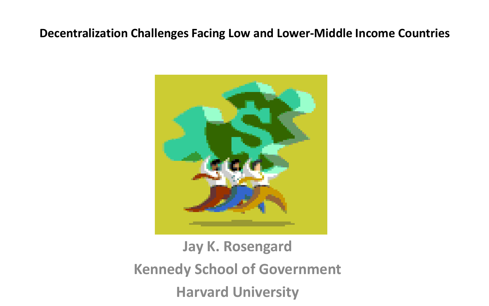### **Decentralization Challenges Facing Low and Lower-Middle Income Countries**



## **Jay K. Rosengard Kennedy School of Government Harvard University**

- 
-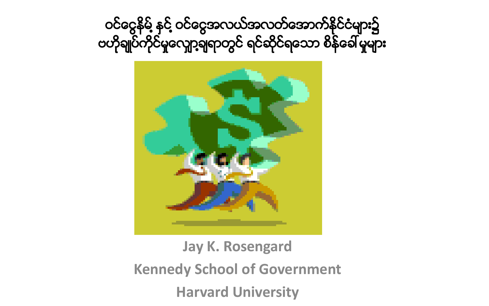ဝင်ငွေနိမ့် နှင့် ဝင်ငွေအလယ်အလတ်အောက်နိုင်ငံများ၌ ဗဟိုချုပ်ကိုင်မှုလျှော့ချရာတွင် ရင်ဆိုင်ရသော စိန်ခေါ် မှုများ



**Jay K. Rosengard Kennedy School of Government Harvard University**



- 
-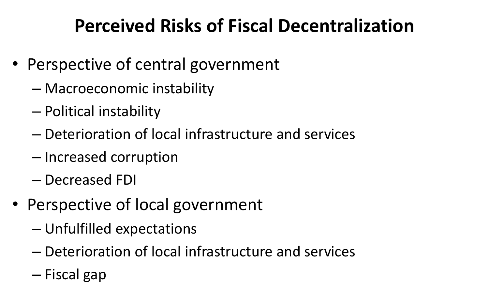## **Perceived Risks of Fiscal Decentralization**

- Perspective of central government
	- Macroeconomic instability
	- Political instability
	- Deterioration of local infrastructure and services
	- Increased corruption
	- Decreased FDI
- Perspective of local government
	- Unfulfilled expectations
	- Deterioration of local infrastructure and services
	- Fiscal gap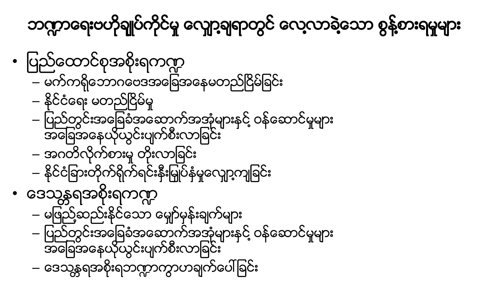

ဘဏ္ကာရေးဗဟိုချုပ်ကိုင်မှု လျှော့ချရာတွင် လေ့လာခဲ့သော စွန့်စားရမှုများ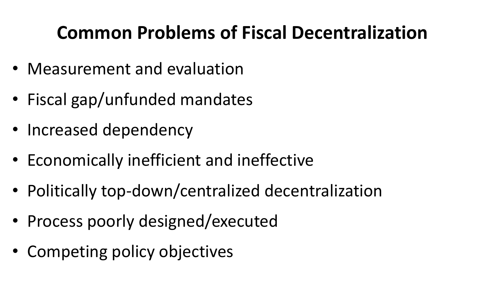## **Common Problems of Fiscal Decentralization**

- Measurement and evaluation
- Fiscal gap/unfunded mandates
- Increased dependency
- Economically inefficient and ineffective
- Politically top-down/centralized decentralization
- Process poorly designed/executed
- Competing policy objectives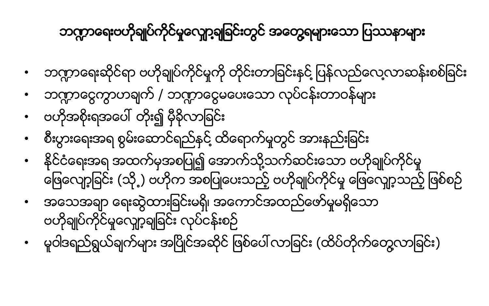- ဖြေလျော့ခြင်း (သို့့) ဗဟိုက အစပြုပေးသည့် ဗဟိုချုပ်ကိုင်မှု ဖြေလျော့သည့် ဖြစ်စဉ် • အေသအခ်ာ ေရးဆြ ဲထားျခင္းမရွိ၊ အေကာင္အထည္ေဖာ္မႈမရိွေသာ ဗဟိုချုပ်ိကိုင်မှုလျော့ချခြင်း လုပ်ငန်းစဉ် • မူဝါဒရည်ရွယ်ချက်များ အပြိုင်အဆိုင် ဖြစ်ပေါ လာခြင်း (ထိပ်တိုက်တွေလာခြင်း)
- နိုင်ငံရေးအရ အထက်မှအစပြု၍ အောက်သို့သက်ဆင်းသော ဗဟိုချုပ်ကိုင်မှု
- စီးပြားေရးအရ စြမ္းေဆာင္ရည္ႏွင္႔ထိေရာက္မႈတြင္အားနည္းျခင္း
- ဗဟိုအစိုးရအေပၚ တိုး၍ မွ ီခိုလာျခင္း
- ဘဏ္ဍာငွေကွာဟချက် / ဘဏ္ဍာငွေမပေးသော လုပ်ငန်းတာဝန်များ
- 
- ဘဏ္ဍာရေးဗဟိုချုပ်ကိုင်မှုလျော့ချုချင်းတွင် အတွေ့ရများသော ပြဿနာများ

ဘက္ကာရေးဆိုင်ရာ ဗဟိုချုပ်ကိုင်မှုကို တိုင်းတာခြင်းနင် ပြန်လည်လေ့လာဆန်းစစ်ခြင်း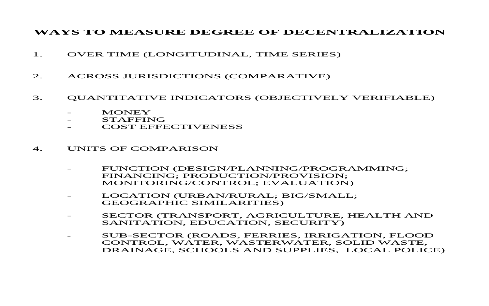### **WAYS TO MEASURE DEGREE OF DECENTRALIZATION**

- 1. OVER TIME (LONGITUDINAL, TIME SERIES)
- 2. ACROSS JURISDICTIONS (COMPARATIVE)

- FUNCTION (DESIGN/PLANNING/PROGRAMMING; FINANCING; PRODUCTION/PROVISION; MONITORING/CONTROL; EVALUATION)
- - LOCATION (URBAN/RURAL; BIG/SMALL; GEOGRAPHIC SIMILARITIES)
- -SANITATION, EDUCATION, SECURITY)
- $\equiv$

### 3. QUANTITATIVE INDICATORS (OBJECTIVELY VERIFIABLE)

| MONEY |
|-------|
|-------|

- STAFFING
- COST EFFECTIVENESS

### 4. UNITS OF COMPARISON

SECTOR (TRANSPORT, AGRICULTURE, HEALTH AND

 SUB-SECTOR (ROADS, FERRIES, IRRIGATION, FLOOD CONTROL, WATER, WASTERWATER, SOLID WASTE, DRAINAGE, SCHOOLS AND SUPPLIES, LOCAL POLICE)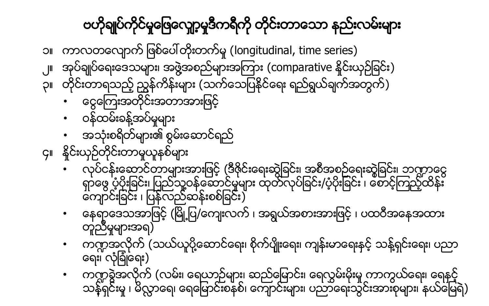ဗဟိုချုပ်ကိုင်မှုဖြေလျော့မှုဒီကရီကို တိုင်းတာသော နည်းလမ်းများ ၁။ ကာလတလျောက်ဖြစ်ပေါ်တိုးတက်မှု (longitudinal, time series) ၂။ အုပ်ိချုပ်ိရေးဒေသများ၊ အဖွဲ့အစည်များအကြား (comparative နိုင်းယှဉ်ခြင်း) ၃။ တိုင်းတာရသည့်ညွန်ကိန်းများ (သက်သေပြနိုင်ရေး ရည်ရွယ်ချက်အတွက်) • ေင ြေၾကးအတို္င္းအတာအားျဖင့္ • ဝန္ထမ္းခန္ ႔အပ္မႈမ်ား • အသံုးစရိတ္မ်ား၏ စြမ္းေဆာင္ရည္ ၄။ နိုင်းယုဉ်တိုင်းတာမူယူနစ်များ • လုပ္ငန္းေဆာင္တာမ်ားအားျဖင့္(ဒီဇိုင္းေရးဆြဲျခင္း၊ အစီအစဥ္ေရးဆြဲုျခင္း၊ ဘ႑ာေငြ ရွာေဖြ ပံ့ပိုးျခင္း၊ ျပည္သူ႔ဝန္ေဆာင္မႈမ်ား ထုတ္လုပ္ျခင္း/ပံ့ပိုးျခင္း ၊ ေစာင့္ၾကည့္ထိန္း ေက်ာင္းျခင္း ၊ ျပန္လည္ဆန္းစစ္ျခင္း) • ေနေရာဒေသအာဖြင့် (မြို့ပြ/ကျေးလက် ၊ အရွယ်အစားအားဖြင့် ၊ ပထဝီအနေအထား တူညီမှုများအရ) • က႑အလိုက္(သယ္ယူပို႔ေဆာင္ေရး၊ စိုက္ပ်ိုဳးေရး၊ က်န္းမာေရးႏွင့္သန္ ႔ရွင္းေရး၊ ပညာ ေရး၊ လံုျခံဳေရး) • က႑ခြဲအလိုက္(လမ္း၊ ေရယာဥ္မ်ား၊ ဆည္ေျမာင္း၊ ေရလႊမ္းမိုးမႈကာကြယ္ေရး၊ ေရႏွင့္ သန္နရှင်းမှ ၊ မိလ္လာေရ၊ ရေမြောင်းစနစ်၊ ကျောင်းများ၊ ပညာရေးသွင်းအားစုများ၊ နယ်မြေရဲ)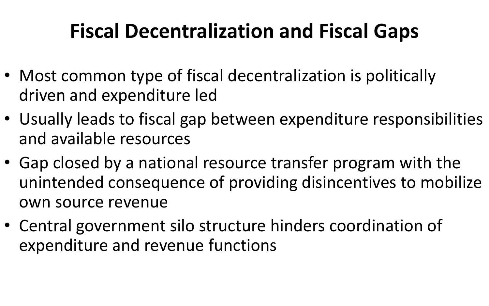## **Fiscal Decentralization and Fiscal Gaps**

- Most common type of fiscal decentralization is politically driven and expenditure led
- Usually leads to fiscal gap between expenditure responsibilities and available resources
- Gap closed by a national resource transfer program with the unintended consequence of providing disincentives to mobilize own source revenue
- Central government silo structure hinders coordination of expenditure and revenue functions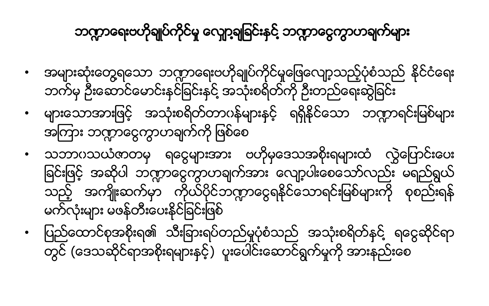- သဘာပသယံဇာတမှ ရငွေများအား ဗဟိုမုဒေသအစိုးရများထံ လွှဲပြောင်းပေး ခြင်းဖြင့် အဆိုပါ ဘဣာငွေကွာဟချက်အား လျော့ပါးစေသော်လည်း မရည်ရွယ် သည့် အကျိုးဆက်မှာ ကိုယ်ပိုင်ဘဏ္ဍာငွေရနိုင်သောရင်းမြစ်များကို စုစည်းရန် မက်လုံးများ မဖန်တီးပေးနိုင်ခြင်းဖြစ် • ျပည္ေထာင္စုအစိုးရ၏ သီးျခားရပ္တည္မႈပံုစံသည္ အသံုးစရိတ္နွင္ ႔ ရေငြဆိုင္ရာ တွင် (ဒေသဆိုင်ရာအစိုးရများနှင့်) ပူးပေါင်းဆောင်ရွက်မှုကို အားနည်းစေ
- ဘက်မှ ဦးေဆာင်ေမာင်းနင်ခြင်းနင် အသုံးစရိတ်ကို ဦးတည်ရေးဆွဲခြင်း • များသောအားဖြင့် အသုံးစရိတ်တာပန်များနှင့် ရရှိနိုင်သော ဘဏ္ဍာရင်းမြစ်များ အကြား ဘဏ္မာတွေကာဟချက်ကို ဖြစ်စေ
- အမ်ားဆံုးေတြ႔ရေသာ ဘ႑ာေရးဗဟိုခ်ဳပ္ကိုင္မႈေျဖေလ်ာ့သည့္ပံုစံသည္ႏိုင္ငံေရး
- ဘက္ကာေရးဗဟိုချုပ်ကိုင်မှု လျှော့ချခြင်းနှင့် ဘက္ကာငွေကွာဟချက်များ



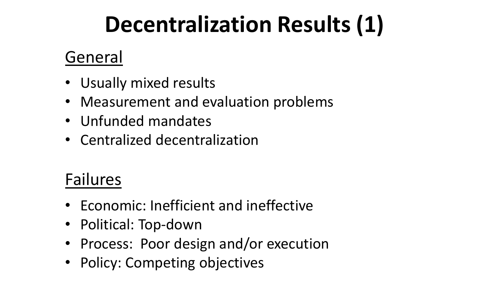# **Decentralization Results (1)**

### General

- Usually mixed results
- Measurement and evaluation problems
- Unfunded mandates
- Centralized decentralization

## Failures

- Economic: Inefficient and ineffective
- Political: Top-down
- Process: Poor design and/or execution
- Policy: Competing objectives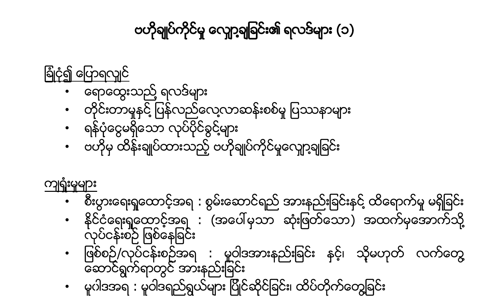ျခံဳငံု၍ ေျပာရလွ်င္ • ေရာေထြးသည္ ႔ရလဒ္မ်ား

ဗဟိုချုပ်ကိုင်မှု လျှော့ချခြင်း၏ ရလဒ်များ (၁)





• ျဖစ္စဥ္/လုပ္ငန္းစဥ္အရ : မူဝါဒအားနည္းျခင္း နွင့္၊ သို့မဟုတ္ လက္ေတြ႔

စီးပွားေရးရှထောင့်အရ : စွမ်းေဆာင်ရည် အားနည်းခြင်းနင့် ထိရောက်မှု မရှိခြင်း နိုင်ငံရေးရှုထောင့်အရ : (အပေါ်မှသာ ဆုံးဖြတ်သော) အထက်မှအောက်သို့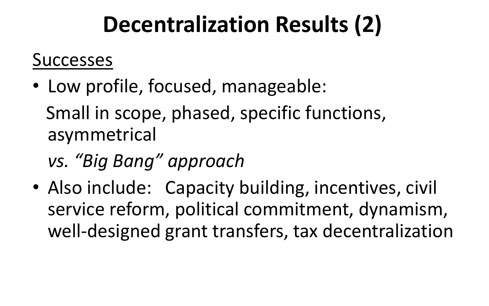# **Decentralization Results (2)**

### Successes

- Low profile, focused, manageable: Small in scope, phased, specific functions, asymmetrical
	- *vs. "Big Bang" approach*
- Also include: Capacity building, incentives, civil service reform, political commitment, dynamism, well-designed grant transfers, tax decentralization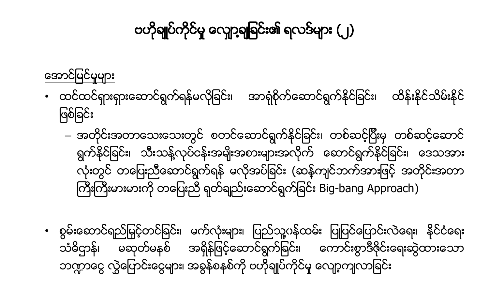သံဓိဌာန်၊ ဘက္ကာေငွ လွဲေပြာင်းငွေများ၊ အခွန်စနစ်ကို ဗဟိုချုပ်ကိုင်မှု လျော့ကျလာခြင်း

ဖြစ်ခြင်း ကြီးကြီးမားမားကို တပြေးညီ ရုတ်ချည်းဆောင်ရွက်ခြင်း Big-bang Approach)

အောင်မြင်မှုများ

ဗဟိုချုပ်ကိုင်မှု လျော့ချဆြင်း၏ ရလဒ်များ (၂)

– အတိုင္းအတာေသးေသးတြင္ စတင္ေဆာင္ရြက္နိုင္ျခင္း၊ တစ္ဆင့္ျပီးမွ တစ္ဆင့္ေဆာင္ ရွက်နိုင်ခြင်း၊ သီးသန့်လုပ်ငန်းအမျိုးအစားများအလိုက် ဆောင်ရွက်နိုင်ခြင်း၊ ဒေသအား လုံးတွင် တပြေးညီေဆာင်ရွက်ရန် မလိုအပ်ခြင်း (ဆန်ကျင်ဘက်အားဖြင့် အတိုင်းအတာ

• ထင္ထင္ရွားရွားေဆာင္ရြက္ရန္မလိုျခင္း၊ အာရံုစိုက္ေဆာင္ရြက္ႏိုင္ျခင္း၊ ထိန္းနိုင္သိမ္းႏိုင္

• စြမ္းေဆာင္ရည္ျမွင့္တင္ျခင္း၊ မက္လံုးမ်ား၊ ျပည္သူ႔ှန္ထမ္း ျပဳျပင္ေျပာင္းလဲေရး၊ နိုင္ငံေရး ၊ မဆုတ္မနစ္ အရွိန္ျဖင့္ေဆာင္ရ ြက္ျခင္း၊ ေကာင္းစြာဒီဇိုင္းေရးဆြဲထားေသာ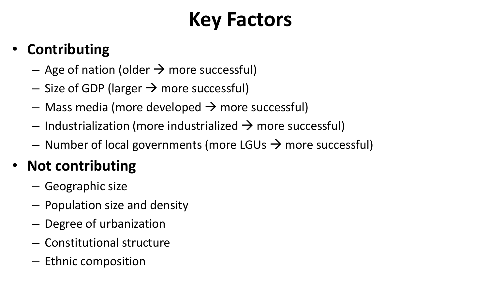## **Key Factors**

### • **Contributing**

- Age of nation (older  $\rightarrow$  more successful)
- $-$  Size of GDP (larger  $\rightarrow$  more successful)
- $-$  Mass media (more developed  $\rightarrow$  more successful)
- Industrialization (more industrialized  $\rightarrow$  more successful)
- Number of local governments (more LGUs  $\rightarrow$  more successful)

### • **Not contributing**

- Geographic size
- Population size and density
- Degree of urbanization
- Constitutional structure
- Ethnic composition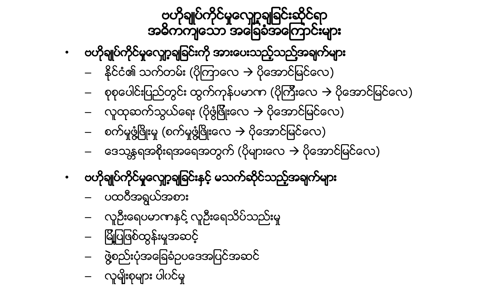- စက်မှုဖွံဖြိုးမှု (စက်မှုဖွံဖြိုးလေ  $\rightarrow$  ပိုအောင်မြင်လေ) ဗဟိုချုပ်ကိုင်မှုလျော့ချခြင်းနှင့် မသက်ဆိုင်သည့်အချက်များ – ပထဝီအရြယ္အစား – လူဦးေရပမာဏႏွင္႔လူဦးေရသိပ္သည္းမႈ – ျမိဳ႔ျပျဖစ္ထြန္းမႈအဆင့္ – ဖြဲ႔စည္းပံုအေျခခံဥပေဒအျပင္အဆင္ လူမျိုးစုများ ပါပင်မှု
- အဓိကကျသော အမြေခံအကြောင်းများ – ႏိုင္ငံ၏ သက္တမ္း (ပိုၾကာေလ ပိုေအာင္ျမင္ေလ) – စုစုေပါင္းျပည္တြင္း ထြက္ကုန္ပမာဏ (ပိုၾကီးေလ ပိုေအာင္ျမင္ေလ) လူထုဆက်သွယ်ေရး (ပိုဖွံဖြိုးလေ  $\rightarrow$  ပိုအောင်မြင်လေ) အေသန္တရအစိုးရအရေအတွက် (ပိုများေလ  $\rightarrow$  ပိုအောင်မြင်လေ)
- 
- ဗဟိုချုပ်ကိုင်မှုလျော့ချခြင်းကို အားပေးသည့်သည့်အချက်များ
- ဗဟိုချုပ်ကိုင်မှုလျော့ချခြင်းဆိုင်ရာ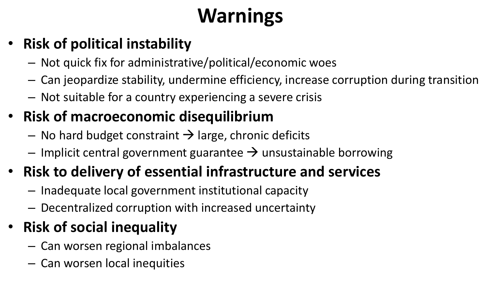# **Warnings**

- Not quick fix for administrative/political/economic woes
- Can jeopardize stability, undermine efficiency, increase corruption during transition – Not suitable for a country experiencing a severe crisis
- 
- **Risk of macroeconomic disequilibrium**
	- No hard budget constraint  $\rightarrow$  large, chronic deficits
	- Implicit central government guarantee  $\rightarrow$  unsustainable borrowing

## • **Risk of political instability**

## • **Risk to delivery of essential infrastructure and services**

- Inadequate local government institutional capacity
- Decentralized corruption with increased uncertainty

## • **Risk of social inequality**

- Can worsen regional imbalances
- Can worsen local inequities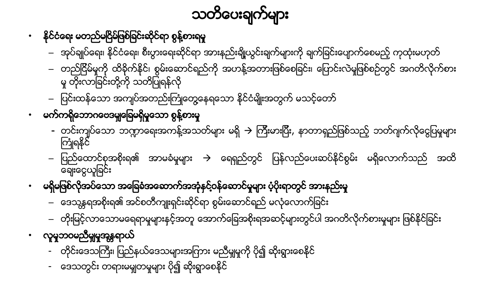- ေဒသတြင္း တရားမမွ်တမႈမ်ား ပို၍ ဆိုးရြာေစႏိုင္
- တိုင်းဒေသကြီး၊ ပြည်နယ်ဒေသများအကြား မညီမျှမှုကို ပို၍ ဆိုးရွားစေနိုင်
- လူမှုဘဝမညီမှုုမှုအန္တရာယ်
- ဒေသန္တရအစိုးရ၏ အင်စတီကျုးရှင်းဆိုင်ရာ စွမ်းဆောင်ရည် မလုံလောက်ခြင်း – တိုးျမင့္လာေသာမေရရာမႈမ်ားနွင့္အတူေအာက္ေျခအစိုးရအဆင့္မ်ားတြင္ပါ အဂတိလိုက္စားမႈမ်ား ျဖစ္ႏိုင္ျခင္း
- မရှိမဖြစ်လိုအပ်သော အခြေခံအဆောက်အအုံနှင့်ဝန်ဆောင်မှုများ ပံ့ပိုးရာတွင် အားနည်းမှု
- ေခ်းေငြယူျခင္း
- ကြံုရနိုင်
- မက်ကရိုဘောဂဗေဒမျှခြေမရှိမူသော စွန့်စားမှု
- မူ တိုးလာခြင်းတို့ကို သတိပြုရန်လို – ပြင်းထန်သော အကျပ်အတည်းကြုံတွေ့နေရသော နိုင်ငံမျိုးအတွက် မသင့်တော်
- တည်ငြိမ်မှုကို ထိခိုက်နိုင်၊ စွမ်းဆောင်ရည်ကို အဟန့်အတားဖြစ်စေခြင်း၊ ပြောင်းလဲမှုဖြစ်စဉ်တွင် အဂတိလိုက်စား
- အုပ္ခ်ဳပ္ေရး၊ ႏိုင္ငံေရး၊ စီးပြားေရးဆိုင္ရာ အားနည္းခ်ိဳ႔ယြင္းခ်က္မ်ားကို ခ်က္ျခင္းေပ်ာက္ေစမည့္ကုထံုးမဟုတ္
- နိုင်ငံရေး မတည်မငြိမ်ဖြစ်ခြင်းဆိုင်ရာ စွန့်စားရမှု

– ျပည္ေထာင္စုအစိုးရ၏ အာမခံမႈမ်ား ေရရွည္တြင္ ျပန္လည္ေပးဆပ္ႏိုင္စ ြမ္း မရွိေလာက္သည္ အထိ

- တင်းကျပ်သော ဘဏ္ဍာရေးအကန့်အသတ်များ မရှိ → ကြီးမားပြီး, နာတာရှည်ဖြစ်သည့် ဘတ်ဂျက်လိုငွေပြမှုများ

သတိပေးချက်များ